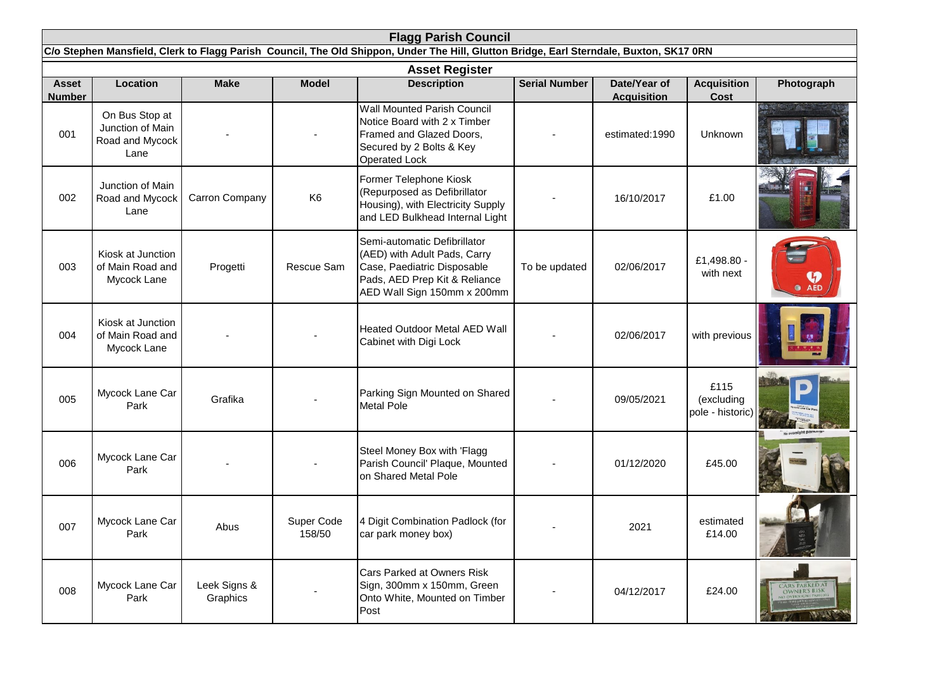| <b>Flagg Parish Council</b>                                                                                                             |                                                               |                          |                      |                                                                                                                                                             |                      |                                    |                                        |                                                                    |  |  |  |  |  |
|-----------------------------------------------------------------------------------------------------------------------------------------|---------------------------------------------------------------|--------------------------|----------------------|-------------------------------------------------------------------------------------------------------------------------------------------------------------|----------------------|------------------------------------|----------------------------------------|--------------------------------------------------------------------|--|--|--|--|--|
| C/o Stephen Mansfield, Clerk to Flagg Parish Council, The Old Shippon, Under The Hill, Glutton Bridge, Earl Sterndale, Buxton, SK17 0RN |                                                               |                          |                      |                                                                                                                                                             |                      |                                    |                                        |                                                                    |  |  |  |  |  |
| <b>Asset</b><br><b>Number</b>                                                                                                           | Location                                                      | <b>Make</b>              | <b>Model</b>         | <b>Asset Register</b><br><b>Description</b>                                                                                                                 | <b>Serial Number</b> | Date/Year of<br><b>Acquisition</b> | <b>Acquisition</b><br>Cost             | Photograph                                                         |  |  |  |  |  |
| 001                                                                                                                                     | On Bus Stop at<br>Junction of Main<br>Road and Mycock<br>Lane |                          |                      | <b>Wall Mounted Parish Council</b><br>Notice Board with 2 x Timber<br>Framed and Glazed Doors,<br>Secured by 2 Bolts & Key<br><b>Operated Lock</b>          |                      | estimated:1990                     | Unknown                                |                                                                    |  |  |  |  |  |
| 002                                                                                                                                     | Junction of Main<br>Road and Mycock<br>Lane                   | Carron Company           | K <sub>6</sub>       | Former Telephone Kiosk<br>(Repurposed as Defibrillator<br>Housing), with Electricity Supply<br>and LED Bulkhead Internal Light                              |                      | 16/10/2017                         | £1.00                                  |                                                                    |  |  |  |  |  |
| 003                                                                                                                                     | Kiosk at Junction<br>of Main Road and<br>Mycock Lane          | Progetti                 | Rescue Sam           | Semi-automatic Defibrillator<br>(AED) with Adult Pads, Carry<br>Case, Paediatric Disposable<br>Pads, AED Prep Kit & Reliance<br>AED Wall Sign 150mm x 200mm | To be updated        | 02/06/2017                         | £1,498.80 -<br>with next               | $\bullet$ $\overline{\mathbf{M}}$                                  |  |  |  |  |  |
| 004                                                                                                                                     | Kiosk at Junction<br>of Main Road and<br>Mycock Lane          |                          |                      | <b>Heated Outdoor Metal AED Wall</b><br>Cabinet with Digi Lock                                                                                              |                      | 02/06/2017                         | with previous                          |                                                                    |  |  |  |  |  |
| 005                                                                                                                                     | Mycock Lane Car<br>Park                                       | Grafika                  |                      | Parking Sign Mounted on Shared<br>Metal Pole                                                                                                                |                      | 09/05/2021                         | £115<br>(excluding<br>pole - historic) |                                                                    |  |  |  |  |  |
| 006                                                                                                                                     | Mycock Lane Car<br>Park                                       |                          |                      | Steel Money Box with 'Flagg<br>Parish Council' Plaque, Mounted<br>on Shared Metal Pole                                                                      |                      | 01/12/2020                         | £45.00                                 |                                                                    |  |  |  |  |  |
| 007                                                                                                                                     | Mycock Lane Car<br>Park                                       | Abus                     | Super Code<br>158/50 | 4 Digit Combination Padlock (for<br>car park money box)                                                                                                     |                      | 2021                               | estimated<br>£14.00                    |                                                                    |  |  |  |  |  |
| 008                                                                                                                                     | Mycock Lane Car<br>Park                                       | Leek Signs &<br>Graphics |                      | Cars Parked at Owners Risk<br>Sign, 300mm x 150mm, Green<br>Onto White, Mounted on Timber<br>Post                                                           |                      | 04/12/2017                         | £24.00                                 | <b>CARS PARKED AT</b><br><b>OWNER'S RISK</b><br><b>REAR REPORT</b> |  |  |  |  |  |